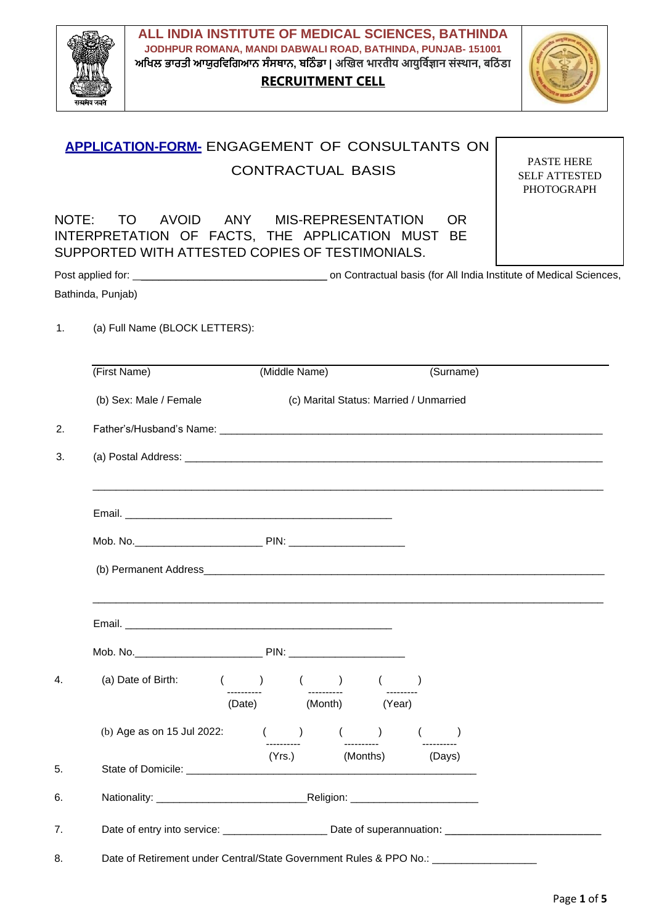

**ALL INDIA INSTITUTE OF MEDICAL SCIENCES, BATHINDA JODHPUR ROMANA, MANDI DABWALI ROAD, BATHINDA, PUNJAB- 151001 ਅਖਿਲ ਭਾਰਤੀ ਆਯੁਰਖਿਖਿਆਨ ਸੰਸਥਾਨ, ਬਖ ੰ ਡਾ | अखिल भारतीय आयुर्विज्ञान संस्थान, बर् ं डा**

# **RECRUITMENT CELL**



|    | APPLICATION-FORM- ENGAGEMENT OF CONSULTANTS ON                                                                                                                                                                                 |                          |                                         |                                                                |  |  |
|----|--------------------------------------------------------------------------------------------------------------------------------------------------------------------------------------------------------------------------------|--------------------------|-----------------------------------------|----------------------------------------------------------------|--|--|
|    |                                                                                                                                                                                                                                | <b>CONTRACTUAL BASIS</b> |                                         | <b>PASTE HERE</b><br><b>SELF ATTESTED</b><br><b>PHOTOGRAPH</b> |  |  |
|    | NOTE: TO AVOID ANY MIS-REPRESENTATION<br>INTERPRETATION OF FACTS, THE APPLICATION MUST BE<br>SUPPORTED WITH ATTESTED COPIES OF TESTIMONIALS.                                                                                   |                          | <b>OR</b>                               |                                                                |  |  |
|    |                                                                                                                                                                                                                                |                          |                                         |                                                                |  |  |
|    | Bathinda, Punjab)                                                                                                                                                                                                              |                          |                                         |                                                                |  |  |
| 1. | (a) Full Name (BLOCK LETTERS):                                                                                                                                                                                                 |                          |                                         |                                                                |  |  |
|    | (First Name)                                                                                                                                                                                                                   | (Middle Name)            | (Surname)                               |                                                                |  |  |
|    | (b) Sex: Male / Female                                                                                                                                                                                                         |                          | (c) Marital Status: Married / Unmarried |                                                                |  |  |
| 2. |                                                                                                                                                                                                                                |                          |                                         |                                                                |  |  |
| 3. |                                                                                                                                                                                                                                |                          |                                         |                                                                |  |  |
|    |                                                                                                                                                                                                                                |                          |                                         |                                                                |  |  |
|    |                                                                                                                                                                                                                                |                          |                                         |                                                                |  |  |
|    |                                                                                                                                                                                                                                |                          |                                         |                                                                |  |  |
|    |                                                                                                                                                                                                                                |                          |                                         |                                                                |  |  |
|    | Email.                                                                                                                                                                                                                         |                          |                                         |                                                                |  |  |
|    |                                                                                                                                                                                                                                |                          |                                         |                                                                |  |  |
| 4. | (a) Date of Birth: $($ $)$ $($ $)$ $($ $)$ $($ $)$                                                                                                                                                                             |                          |                                         |                                                                |  |  |
|    |                                                                                                                                                                                                                                | (Date) (Month) (Year)    |                                         |                                                                |  |  |
|    | (b) Age as on 15 Jul 2022: $($ $)$ $($ $)$                                                                                                                                                                                     |                          |                                         |                                                                |  |  |
| 5. | State of Domicile: We have a state of the state of the state of the state of the state of the state of the state of the state of the state of the state of the state of the state of the state of the state of the state of th | (Yrs.) (Months) (Days)   |                                         |                                                                |  |  |
| 6. |                                                                                                                                                                                                                                |                          |                                         |                                                                |  |  |
| 7. |                                                                                                                                                                                                                                |                          |                                         |                                                                |  |  |
| 8. | Date of Retirement under Central/State Government Rules & PPO No.: ______________                                                                                                                                              |                          |                                         |                                                                |  |  |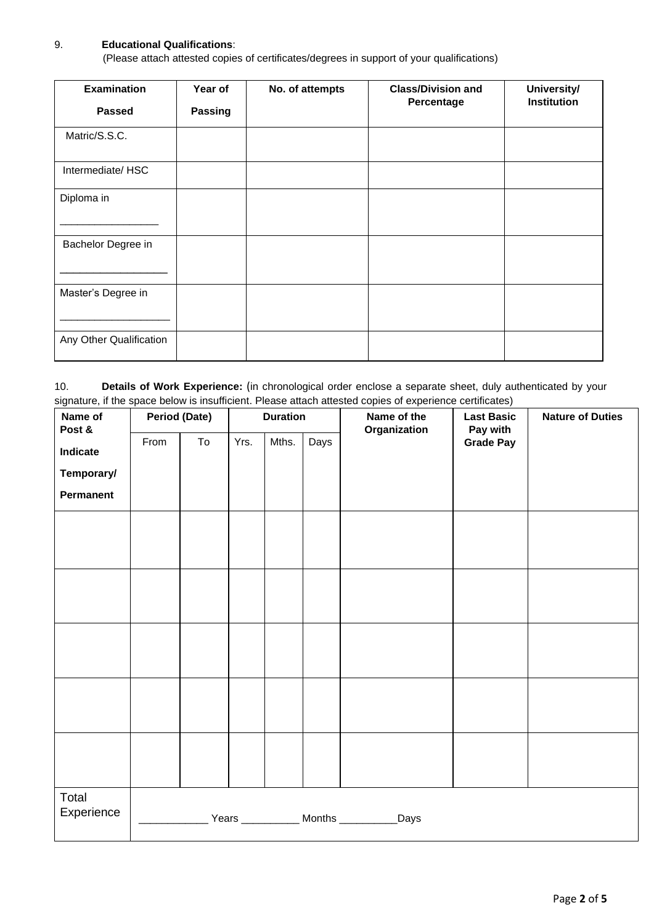#### 9. **Educational Qualifications**:

(Please attach attested copies of certificates/degrees in support of your qualifications)

| <b>Examination</b>      | Year of        | No. of attempts | <b>Class/Division and</b> | University/        |
|-------------------------|----------------|-----------------|---------------------------|--------------------|
| <b>Passed</b>           | <b>Passing</b> |                 | Percentage                | <b>Institution</b> |
| Matric/S.S.C.           |                |                 |                           |                    |
| Intermediate/HSC        |                |                 |                           |                    |
| Diploma in              |                |                 |                           |                    |
| Bachelor Degree in      |                |                 |                           |                    |
| Master's Degree in      |                |                 |                           |                    |
| Any Other Qualification |                |                 |                           |                    |

10. **Details of Work Experience:** (in chronological order enclose a separate sheet, duly authenticated by your signature, if the space below is insufficient. Please attach attested copies of experience certificates)

| Name of<br>Post &   | <b>Period (Date)</b>                |    | <b>Duration</b> |       |      | Name of the<br>Organization | <b>Last Basic</b><br>Pay with | <b>Nature of Duties</b> |
|---------------------|-------------------------------------|----|-----------------|-------|------|-----------------------------|-------------------------------|-------------------------|
| Indicate            | From                                | To | Yrs.            | Mths. | Days |                             | <b>Grade Pay</b>              |                         |
| Temporary/          |                                     |    |                 |       |      |                             |                               |                         |
| Permanent           |                                     |    |                 |       |      |                             |                               |                         |
|                     |                                     |    |                 |       |      |                             |                               |                         |
|                     |                                     |    |                 |       |      |                             |                               |                         |
|                     |                                     |    |                 |       |      |                             |                               |                         |
|                     |                                     |    |                 |       |      |                             |                               |                         |
|                     |                                     |    |                 |       |      |                             |                               |                         |
|                     |                                     |    |                 |       |      |                             |                               |                         |
|                     |                                     |    |                 |       |      |                             |                               |                         |
|                     |                                     |    |                 |       |      |                             |                               |                         |
|                     |                                     |    |                 |       |      |                             |                               |                         |
|                     |                                     |    |                 |       |      |                             |                               |                         |
| Total<br>Experience |                                     |    |                 |       |      | _Days                       |                               |                         |
|                     | Years ____________ Months _________ |    |                 |       |      |                             |                               |                         |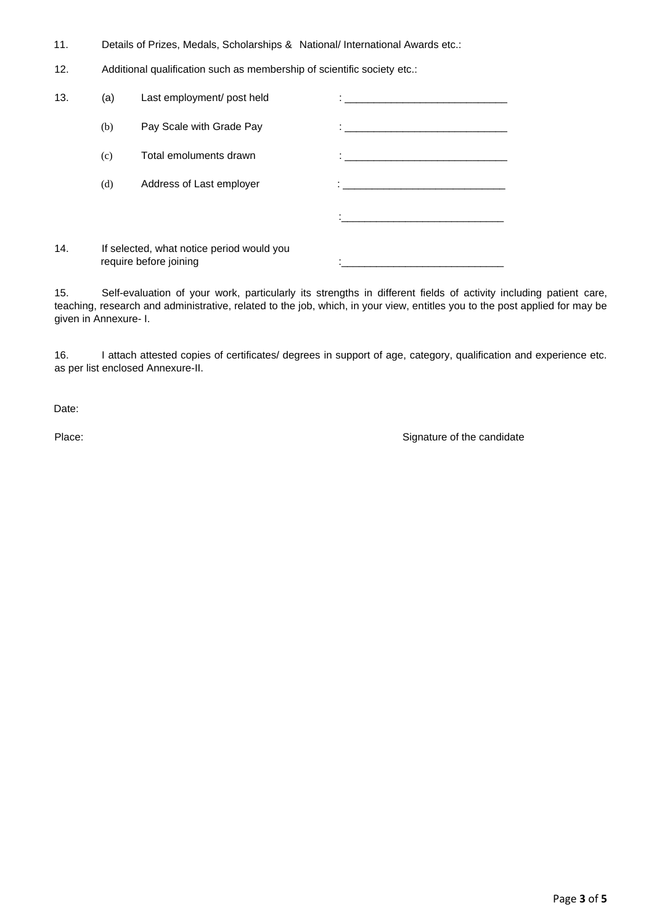- 11. Details of Prizes, Medals, Scholarships & National/ International Awards etc.:
- 12. Additional qualification such as membership of scientific society etc.:

| 13. | (a) | Last employment/ post held                                          |                                                     |
|-----|-----|---------------------------------------------------------------------|-----------------------------------------------------|
|     | (b) | Pay Scale with Grade Pay                                            | <u>: _________________________________</u>          |
|     | (c) | Total emoluments drawn                                              | <u> 1986 - Jan Samuel Barbara, poeta esperanto-</u> |
|     | (d) | Address of Last employer                                            |                                                     |
|     |     |                                                                     |                                                     |
| 14. |     | If selected, what notice period would you<br>require before joining |                                                     |

15. Self-evaluation of your work, particularly its strengths in different fields of activity including patient care, teaching, research and administrative, related to the job, which, in your view, entitles you to the post applied for may be given in Annexure- I.

16. I attach attested copies of certificates/ degrees in support of age, category, qualification and experience etc. as per list enclosed Annexure-II.

Date:

Place: Signature of the candidate  $\sim$  Signature of the candidate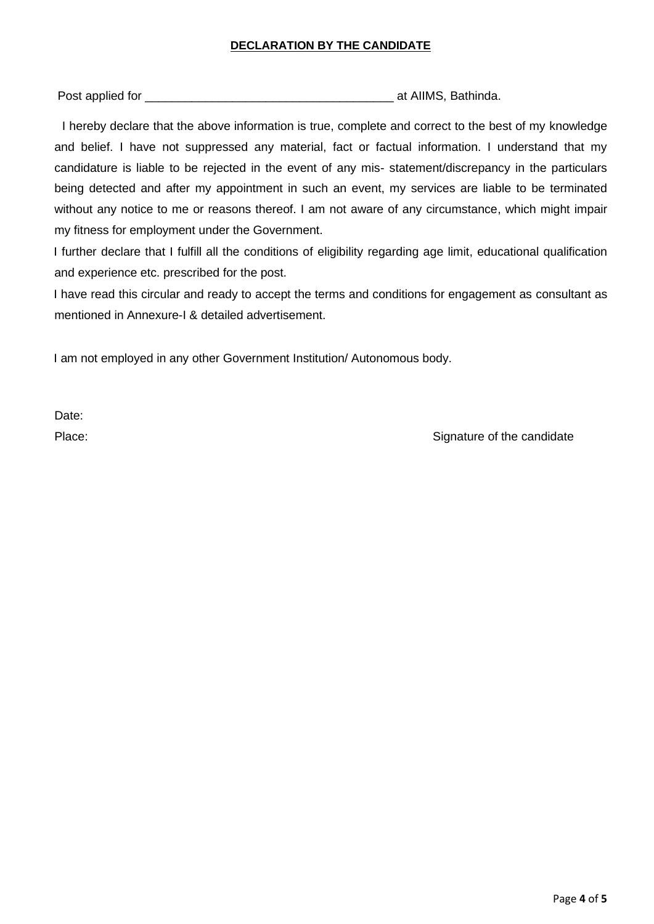### **DECLARATION BY THE CANDIDATE**

Post applied for \_\_\_\_\_\_\_\_\_\_\_\_\_\_\_\_\_\_\_\_\_\_\_\_\_\_\_\_\_\_\_\_\_\_\_\_\_ at AIIMS, Bathinda.

I hereby declare that the above information is true, complete and correct to the best of my knowledge and belief. I have not suppressed any material, fact or factual information. I understand that my candidature is liable to be rejected in the event of any mis- statement/discrepancy in the particulars being detected and after my appointment in such an event, my services are liable to be terminated without any notice to me or reasons thereof. I am not aware of any circumstance, which might impair my fitness for employment under the Government.

I further declare that I fulfill all the conditions of eligibility regarding age limit, educational qualification and experience etc. prescribed for the post.

I have read this circular and ready to accept the terms and conditions for engagement as consultant as mentioned in Annexure-I & detailed advertisement.

I am not employed in any other Government Institution/ Autonomous body.

Date:

Place: Signature of the candidate